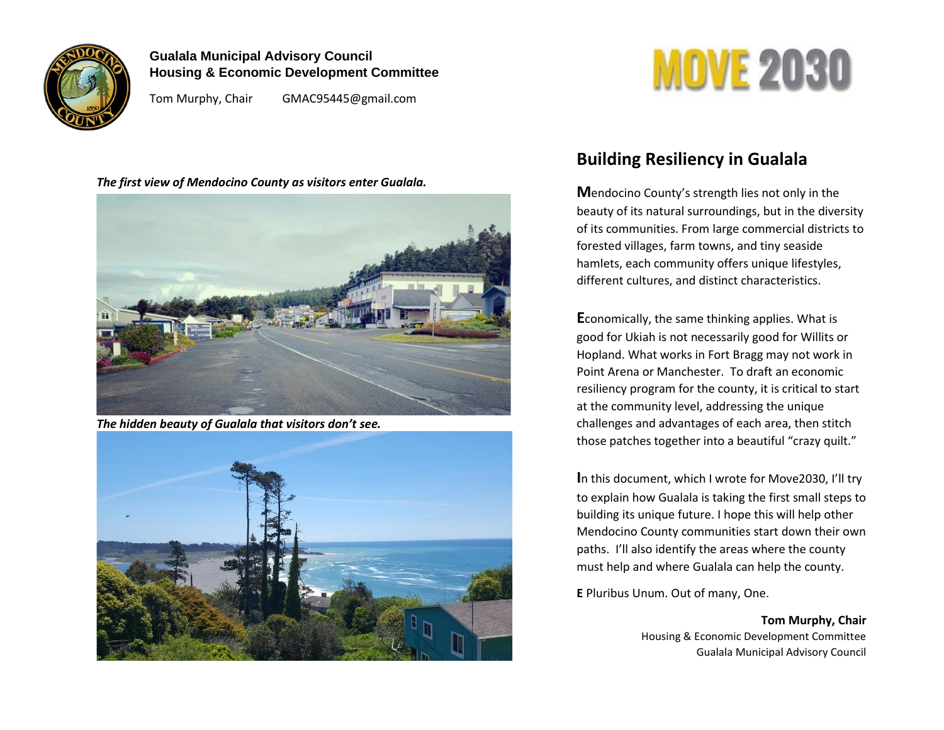

### **Gualala Municipal Advisory Council Housing & Economic Development Committee**

Tom Murphy, Chair GMAC95445@gmail.com

#### *The first view of Mendocino County as visitors enter Gualala.*



*The hidden beauty of Gualala that visitors don't see.*



# **MOVE 2030**

## **Building Resiliency in Gualala**

**M**endocino County's strength lies not only in the beauty of its natural surroundings, but in the diversity of its communities. From large commercial districts to forested villages, farm towns, and tiny seaside hamlets, each community offers unique lifestyles, different cultures, and distinct characteristics.

**E**conomically, the same thinking applies. What is good for Ukiah is not necessarily good for Willits or Hopland. What works in Fort Bragg may not work in Point Arena or Manchester. To draft an economic resiliency program for the county, it is critical to start at the community level, addressing the unique challenges and advantages of each area, then stitch those patches together into a beautiful "crazy quilt."

**I**n this document, which I wrote for Move2030, I'll try to explain how Gualala is taking the first small steps to building its unique future. I hope this will help other Mendocino County communities start down their own paths. I'll also identify the areas where the county must help and where Gualala can help the county.

**E** Pluribus Unum. Out of many, One.

**Tom Murphy, Chair** Housing & Economic Development Committee Gualala Municipal Advisory Council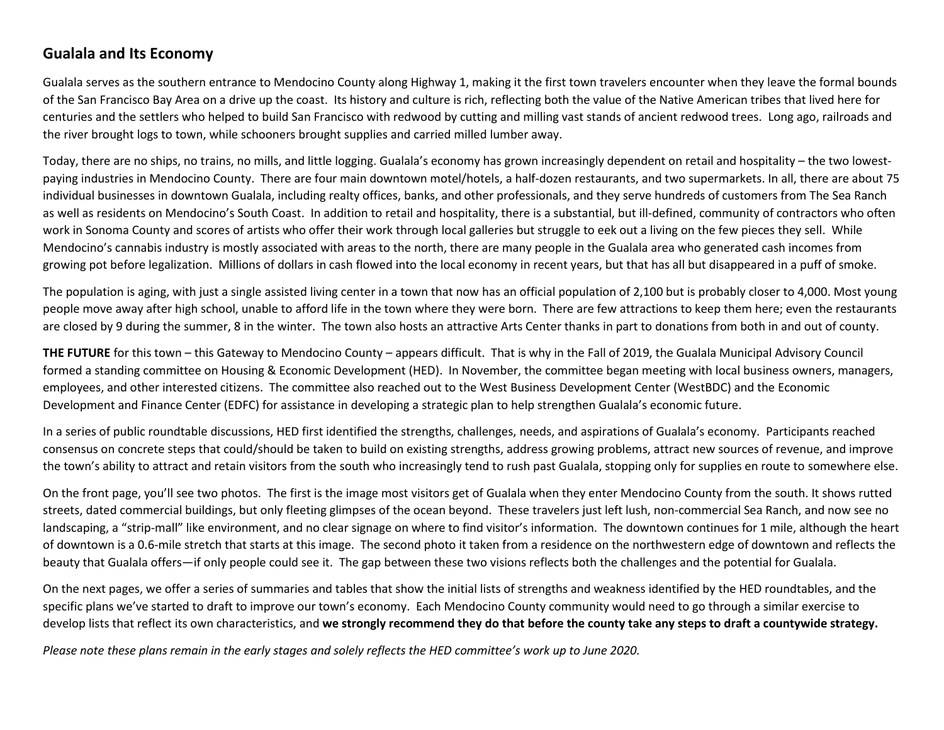## **Gualala and Its Economy**

Gualala serves as the southern entrance to Mendocino County along Highway 1, making it the first town travelers encounter when they leave the formal bounds of the San Francisco Bay Area on a drive up the coast. Its history and culture is rich, reflecting both the value of the Native American tribes that lived here for centuries and the settlers who helped to build San Francisco with redwood by cutting and milling vast stands of ancient redwood trees. Long ago, railroads and the river brought logs to town, while schooners brought supplies and carried milled lumber away.

Today, there are no ships, no trains, no mills, and little logging. Gualala's economy has grown increasingly dependent on retail and hospitality – the two lowestpaying industries in Mendocino County. There are four main downtown motel/hotels, a half-dozen restaurants, and two supermarkets. In all, there are about 75 individual businesses in downtown Gualala, including realty offices, banks, and other professionals, and they serve hundreds of customers from The Sea Ranch as well as residents on Mendocino's South Coast. In addition to retail and hospitality, there is a substantial, but ill-defined, community of contractors who often work in Sonoma County and scores of artists who offer their work through local galleries but struggle to eek out a living on the few pieces they sell. While Mendocino's cannabis industry is mostly associated with areas to the north, there are many people in the Gualala area who generated cash incomes from growing pot before legalization. Millions of dollars in cash flowed into the local economy in recent years, but that has all but disappeared in a puff of smoke.

The population is aging, with just a single assisted living center in a town that now has an official population of 2,100 but is probably closer to 4,000. Most young people move away after high school, unable to afford life in the town where they were born. There are few attractions to keep them here; even the restaurants are closed by 9 during the summer, 8 in the winter. The town also hosts an attractive Arts Center thanks in part to donations from both in and out of county.

**THE FUTURE** for this town – this Gateway to Mendocino County – appears difficult. That is why in the Fall of 2019, the Gualala Municipal Advisory Council formed a standing committee on Housing & Economic Development (HED). In November, the committee began meeting with local business owners, managers, employees, and other interested citizens. The committee also reached out to the West Business Development Center (WestBDC) and the Economic Development and Finance Center (EDFC) for assistance in developing a strategic plan to help strengthen Gualala's economic future.

In a series of public roundtable discussions, HED first identified the strengths, challenges, needs, and aspirations of Gualala's economy. Participants reached consensus on concrete steps that could/should be taken to build on existing strengths, address growing problems, attract new sources of revenue, and improve the town's ability to attract and retain visitors from the south who increasingly tend to rush past Gualala, stopping only for supplies en route to somewhere else.

On the front page, you'll see two photos. The first is the image most visitors get of Gualala when they enter Mendocino County from the south. It shows rutted streets, dated commercial buildings, but only fleeting glimpses of the ocean beyond. These travelers just left lush, non-commercial Sea Ranch, and now see no landscaping, a "strip-mall" like environment, and no clear signage on where to find visitor's information. The downtown continues for 1 mile, although the heart of downtown is a 0.6-mile stretch that starts at this image. The second photo it taken from a residence on the northwestern edge of downtown and reflects the beauty that Gualala offers—if only people could see it. The gap between these two visions reflects both the challenges and the potential for Gualala.

On the next pages, we offer a series of summaries and tables that show the initial lists of strengths and weakness identified by the HED roundtables, and the specific plans we've started to draft to improve our town's economy. Each Mendocino County community would need to go through a similar exercise to develop lists that reflect its own characteristics, and **we strongly recommend they do that before the county take any steps to draft a countywide strategy.** 

*Please note these plans remain in the early stages and solely reflects the HED committee's work up to June 2020.*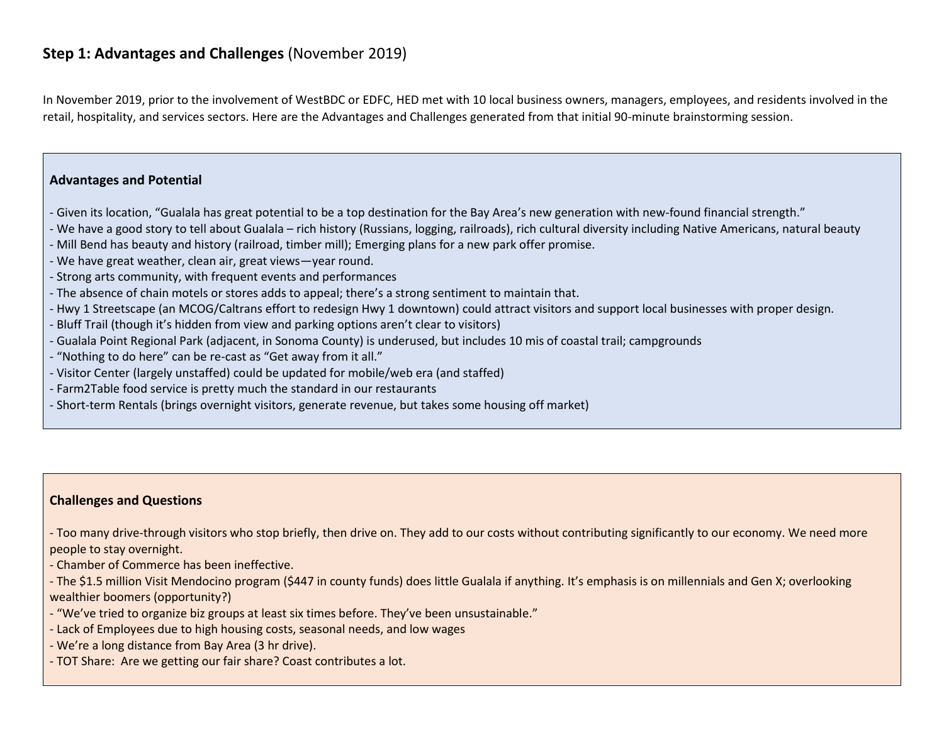## **Step 1: Advantages and Challenges** (November 2019)

In November 2019, prior to the involvement of WestBDC or EDFC, HED met with 10 local business owners, managers, employees, and residents involved in the retail, hospitality, and services sectors. Here are the Advantages and Challenges generated from that initial 90-minute brainstorming session.

#### **Advantages and Potential**

- Given its location, "Gualala has great potential to be a top destination for the Bay Area's new generation with new-found financial strength."
- We have a good story to tell about Gualala rich history (Russians, logging, railroads), rich cultural diversity including Native Americans, natural beauty
- Mill Bend has beauty and history (railroad, timber mill); Emerging plans for a new park offer promise.
- We have great weather, clean air, great views—year round.
- Strong arts community, with frequent events and performances
- The absence of chain motels or stores adds to appeal; there's a strong sentiment to maintain that.
- Hwy 1 Streetscape (an MCOG/Caltrans effort to redesign Hwy 1 downtown) could attract visitors and support local businesses with proper design.
- Bluff Trail (though it's hidden from view and parking options aren't clear to visitors)
- Gualala Point Regional Park (adjacent, in Sonoma County) is underused, but includes 10 mis of coastal trail; campgrounds
- "Nothing to do here" can be re-cast as "Get away from it all."
- Visitor Center (largely unstaffed) could be updated for mobile/web era (and staffed)
- Farm2Table food service is pretty much the standard in our restaurants
- Short-term Rentals (brings overnight visitors, generate revenue, but takes some housing off market)

#### **Challenges and Questions**

- Too many drive-through visitors who stop briefly, then drive on. They add to our costs without contributing significantly to our economy. We need more people to stay overnight.

- Chamber of Commerce has been ineffective.

- The \$1.5 million Visit Mendocino program (\$447 in county funds) does little Gualala if anything. It's emphasis is on millennials and Gen X; overlooking wealthier boomers (opportunity?)

- "We've tried to organize biz groups at least six times before. They've been unsustainable."
- Lack of Employees due to high housing costs, seasonal needs, and low wages
- We're a long distance from Bay Area (3 hr drive).
- TOT Share: Are we getting our fair share? Coast contributes a lot.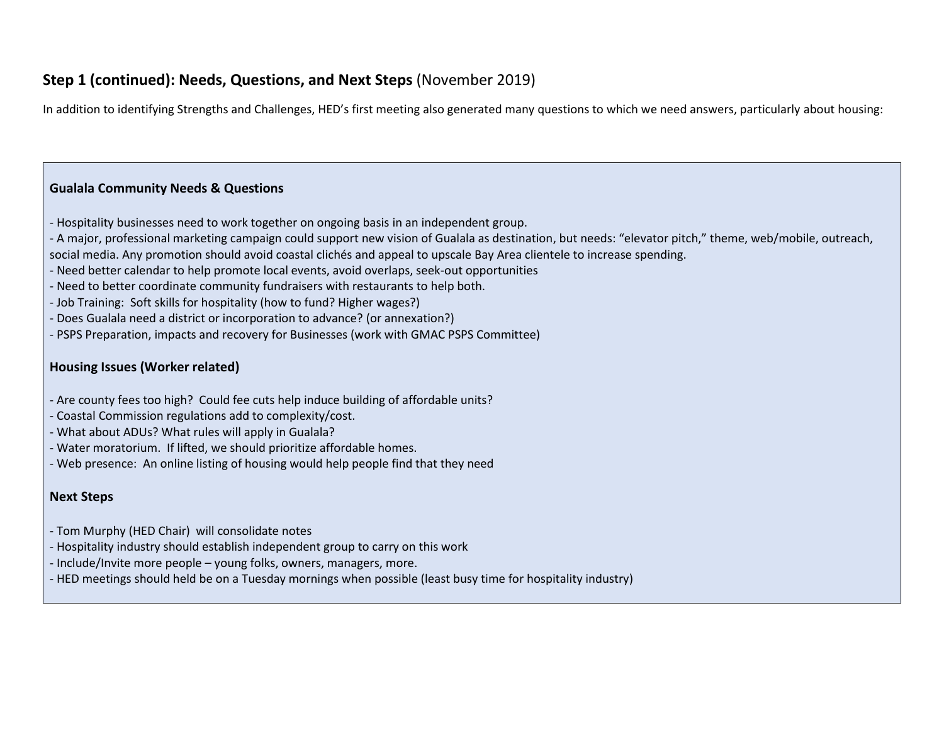## **Step 1 (continued): Needs, Questions, and Next Steps** (November 2019)

In addition to identifying Strengths and Challenges, HED's first meeting also generated many questions to which we need answers, particularly about housing:

#### **Gualala Community Needs & Questions**

- Hospitality businesses need to work together on ongoing basis in an independent group.
- A major, professional marketing campaign could support new vision of Gualala as destination, but needs: "elevator pitch," theme, web/mobile, outreach, social media. Any promotion should avoid coastal clichés and appeal to upscale Bay Area clientele to increase spending.
- Need better calendar to help promote local events, avoid overlaps, seek-out opportunities
- Need to better coordinate community fundraisers with restaurants to help both.
- Job Training: Soft skills for hospitality (how to fund? Higher wages?)
- Does Gualala need a district or incorporation to advance? (or annexation?)
- PSPS Preparation, impacts and recovery for Businesses (work with GMAC PSPS Committee)

#### **Housing Issues (Worker related)**

- Are county fees too high? Could fee cuts help induce building of affordable units?
- Coastal Commission regulations add to complexity/cost.
- What about ADUs? What rules will apply in Gualala?
- Water moratorium. If lifted, we should prioritize affordable homes.
- Web presence: An online listing of housing would help people find that they need

#### **Next Steps**

- Tom Murphy (HED Chair) will consolidate notes
- Hospitality industry should establish independent group to carry on this work
- Include/Invite more people young folks, owners, managers, more.
- HED meetings should held be on a Tuesday mornings when possible (least busy time for hospitality industry)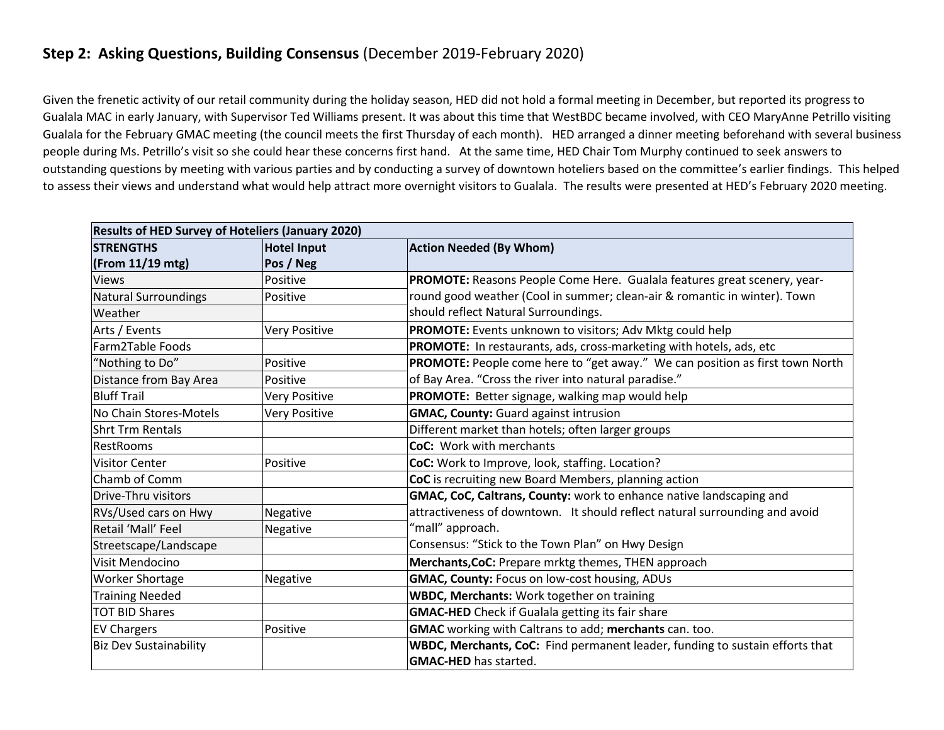## **Step 2: Asking Questions, Building Consensus** (December 2019-February 2020)

Given the frenetic activity of our retail community during the holiday season, HED did not hold a formal meeting in December, but reported its progress to Gualala MAC in early January, with Supervisor Ted Williams present. It was about this time that WestBDC became involved, with CEO MaryAnne Petrillo visiting Gualala for the February GMAC meeting (the council meets the first Thursday of each month). HED arranged a dinner meeting beforehand with several business people during Ms. Petrillo's visit so she could hear these concerns first hand. At the same time, HED Chair Tom Murphy continued to seek answers to outstanding questions by meeting with various parties and by conducting a survey of downtown hoteliers based on the committee's earlier findings. This helped to assess their views and understand what would help attract more overnight visitors to Gualala. The results were presented at HED's February 2020 meeting.

| <b>Results of HED Survey of Hoteliers (January 2020)</b> |                    |                                                                              |  |  |
|----------------------------------------------------------|--------------------|------------------------------------------------------------------------------|--|--|
| <b>STRENGTHS</b>                                         | <b>Hotel Input</b> | <b>Action Needed (By Whom)</b>                                               |  |  |
| $($ From 11/19 mtg $)$                                   | Pos / Neg          |                                                                              |  |  |
| <b>Views</b>                                             | Positive           | PROMOTE: Reasons People Come Here. Gualala features great scenery, year-     |  |  |
| Natural Surroundings                                     | Positive           | round good weather (Cool in summer; clean-air & romantic in winter). Town    |  |  |
| Weather                                                  |                    | should reflect Natural Surroundings.                                         |  |  |
| Arts / Events                                            | Very Positive      | PROMOTE: Events unknown to visitors; Adv Mktg could help                     |  |  |
| Farm2Table Foods                                         |                    | PROMOTE: In restaurants, ads, cross-marketing with hotels, ads, etc          |  |  |
| "Nothing to Do"                                          | Positive           | PROMOTE: People come here to "get away." We can position as first town North |  |  |
| Distance from Bay Area                                   | Positive           | of Bay Area. "Cross the river into natural paradise."                        |  |  |
| <b>Bluff Trail</b>                                       | Very Positive      | PROMOTE: Better signage, walking map would help                              |  |  |
| No Chain Stores-Motels                                   | Very Positive      | <b>GMAC, County: Guard against intrusion</b>                                 |  |  |
| <b>Shrt Trm Rentals</b>                                  |                    | Different market than hotels; often larger groups                            |  |  |
| <b>RestRooms</b>                                         |                    | <b>CoC:</b> Work with merchants                                              |  |  |
| <b>Visitor Center</b>                                    | Positive           | CoC: Work to Improve, look, staffing. Location?                              |  |  |
| Chamb of Comm                                            |                    | CoC is recruiting new Board Members, planning action                         |  |  |
| Drive-Thru visitors                                      |                    | GMAC, CoC, Caltrans, County: work to enhance native landscaping and          |  |  |
| RVs/Used cars on Hwy                                     | Negative           | attractiveness of downtown. It should reflect natural surrounding and avoid  |  |  |
| Retail 'Mall' Feel                                       | Negative           | "mall" approach.                                                             |  |  |
| Streetscape/Landscape                                    |                    | Consensus: "Stick to the Town Plan" on Hwy Design                            |  |  |
| Visit Mendocino                                          |                    | Merchants, CoC: Prepare mrktg themes, THEN approach                          |  |  |
| <b>Worker Shortage</b>                                   | Negative           | <b>GMAC, County: Focus on low-cost housing, ADUs</b>                         |  |  |
| <b>Training Needed</b>                                   |                    | <b>WBDC, Merchants: Work together on training</b>                            |  |  |
| <b>TOT BID Shares</b>                                    |                    | <b>GMAC-HED</b> Check if Gualala getting its fair share                      |  |  |
| <b>EV Chargers</b>                                       | Positive           | GMAC working with Caltrans to add; merchants can. too.                       |  |  |
| <b>Biz Dev Sustainability</b>                            |                    | WBDC, Merchants, CoC: Find permanent leader, funding to sustain efforts that |  |  |
|                                                          |                    | <b>GMAC-HED</b> has started.                                                 |  |  |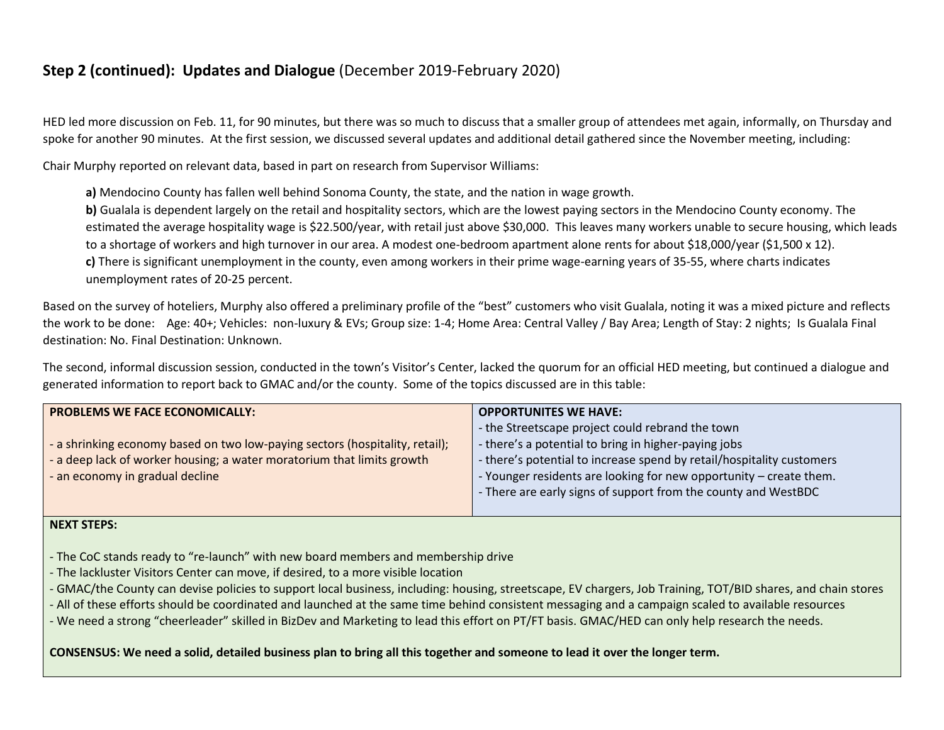## **Step 2 (continued): Updates and Dialogue** (December 2019-February 2020)

HED led more discussion on Feb. 11, for 90 minutes, but there was so much to discuss that a smaller group of attendees met again, informally, on Thursday and spoke for another 90 minutes. At the first session, we discussed several updates and additional detail gathered since the November meeting, including:

Chair Murphy reported on relevant data, based in part on research from Supervisor Williams:

**a)** Mendocino County has fallen well behind Sonoma County, the state, and the nation in wage growth.

**b**) Gualala is dependent largely on the retail and hospitality sectors, which are the lowest paying sectors in the Mendocino County economy. The estimated the average hospitality wage is \$22.500/year, with retail just above \$30,000. This leaves many workers unable to secure housing, which leads to a shortage of workers and high turnover in our area. A modest one-bedroom apartment alone rents for about \$18,000/year (\$1,500 x 12). **c)** There is significant unemployment in the county, even among workers in their prime wage-earning years of 35-55, where charts indicates unemployment rates of 20-25 percent.

Based on the survey of hoteliers, Murphy also offered a preliminary profile of the "best" customers who visit Gualala, noting it was a mixed picture and reflects the work to be done: Age: 40+; Vehicles: non-luxury & EVs; Group size: 1-4; Home Area: Central Valley / Bay Area; Length of Stay: 2 nights; Is Gualala Final destination: No. Final Destination: Unknown.

The second, informal discussion session, conducted in the town's Visitor's Center, lacked the quorum for an official HED meeting, but continued a dialogue and generated information to report back to GMAC and/or the county. Some of the topics discussed are in this table:

| <b>PROBLEMS WE FACE ECONOMICALLY:</b>                                        | <b>OPPORTUNITES WE HAVE:</b>                                          |  |
|------------------------------------------------------------------------------|-----------------------------------------------------------------------|--|
|                                                                              | - the Streetscape project could rebrand the town                      |  |
| - a shrinking economy based on two low-paying sectors (hospitality, retail); | - there's a potential to bring in higher-paying jobs                  |  |
| - a deep lack of worker housing; a water moratorium that limits growth       | - there's potential to increase spend by retail/hospitality customers |  |
| - an economy in gradual decline                                              | - Younger residents are looking for new opportunity – create them.    |  |
|                                                                              | - There are early signs of support from the county and WestBDC        |  |
|                                                                              |                                                                       |  |

#### **NEXT STEPS:**

- The CoC stands ready to "re-launch" with new board members and membership drive
- The lackluster Visitors Center can move, if desired, to a more visible location
- GMAC/the County can devise policies to support local business, including: housing, streetscape, EV chargers, Job Training, TOT/BID shares, and chain stores
- All of these efforts should be coordinated and launched at the same time behind consistent messaging and a campaign scaled to available resources
- We need a strong "cheerleader" skilled in BizDev and Marketing to lead this effort on PT/FT basis. GMAC/HED can only help research the needs.

#### **CONSENSUS: We need a solid, detailed business plan to bring all this together and someone to lead it over the longer term.**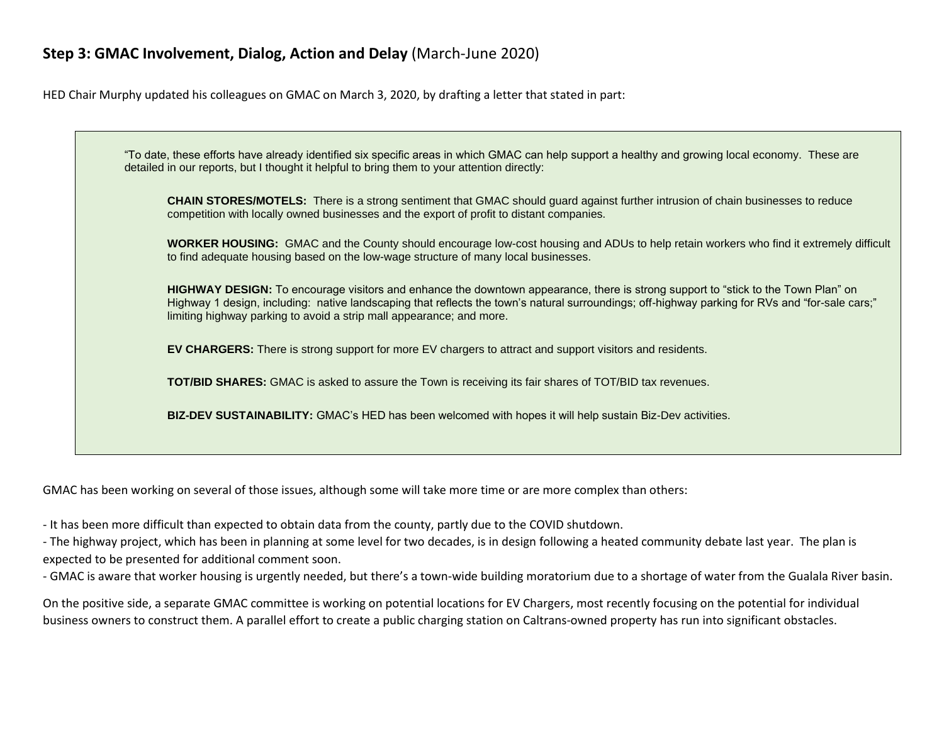## **Step 3: GMAC Involvement, Dialog, Action and Delay** (March-June 2020)

HED Chair Murphy updated his colleagues on GMAC on March 3, 2020, by drafting a letter that stated in part:



GMAC has been working on several of those issues, although some will take more time or are more complex than others:

- It has been more difficult than expected to obtain data from the county, partly due to the COVID shutdown.

- The highway project, which has been in planning at some level for two decades, is in design following a heated community debate last year. The plan is expected to be presented for additional comment soon.

- GMAC is aware that worker housing is urgently needed, but there's a town-wide building moratorium due to a shortage of water from the Gualala River basin.

On the positive side, a separate GMAC committee is working on potential locations for EV Chargers, most recently focusing on the potential for individual business owners to construct them. A parallel effort to create a public charging station on Caltrans-owned property has run into significant obstacles.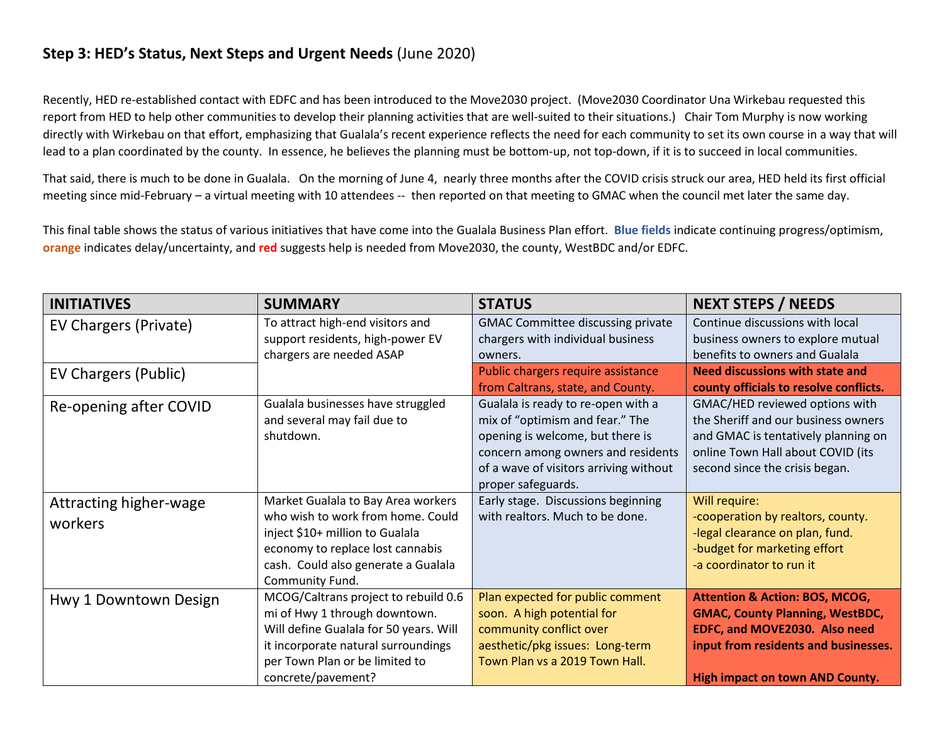## **Step 3: HED's Status, Next Steps and Urgent Needs** (June 2020)

Recently, HED re-established contact with EDFC and has been introduced to the Move2030 project. (Move2030 Coordinator Una Wirkebau requested this report from HED to help other communities to develop their planning activities that are well-suited to their situations.) Chair Tom Murphy is now working directly with Wirkebau on that effort, emphasizing that Gualala's recent experience reflects the need for each community to set its own course in a way that will lead to a plan coordinated by the county. In essence, he believes the planning must be bottom-up, not top-down, if it is to succeed in local communities.

That said, there is much to be done in Gualala. On the morning of June 4, nearly three months after the COVID crisis struck our area, HED held its first official meeting since mid-February – a virtual meeting with 10 attendees -- then reported on that meeting to GMAC when the council met later the same day.

This final table shows the status of various initiatives that have come into the Gualala Business Plan effort. **Blue fields** indicate continuing progress/optimism, **orange** indicates delay/uncertainty, and **red** suggests help is needed from Move2030, the county, WestBDC and/or EDFC.

| <b>INITIATIVES</b>                | <b>SUMMARY</b>                                                                                                                                                                                                 | <b>STATUS</b>                                                                                                                                                                                                   | <b>NEXT STEPS / NEEDS</b>                                                                                                                                                                              |
|-----------------------------------|----------------------------------------------------------------------------------------------------------------------------------------------------------------------------------------------------------------|-----------------------------------------------------------------------------------------------------------------------------------------------------------------------------------------------------------------|--------------------------------------------------------------------------------------------------------------------------------------------------------------------------------------------------------|
| EV Chargers (Private)             | To attract high-end visitors and<br>support residents, high-power EV<br>chargers are needed ASAP                                                                                                               | <b>GMAC Committee discussing private</b><br>chargers with individual business<br>owners.                                                                                                                        | Continue discussions with local<br>business owners to explore mutual<br>benefits to owners and Gualala                                                                                                 |
| EV Chargers (Public)              |                                                                                                                                                                                                                | Public chargers require assistance<br>from Caltrans, state, and County.                                                                                                                                         | <b>Need discussions with state and</b><br>county officials to resolve conflicts.                                                                                                                       |
| Re-opening after COVID            | Gualala businesses have struggled<br>and several may fail due to<br>shutdown.                                                                                                                                  | Gualala is ready to re-open with a<br>mix of "optimism and fear." The<br>opening is welcome, but there is<br>concern among owners and residents<br>of a wave of visitors arriving without<br>proper safeguards. | GMAC/HED reviewed options with<br>the Sheriff and our business owners<br>and GMAC is tentatively planning on<br>online Town Hall about COVID (its<br>second since the crisis began.                    |
| Attracting higher-wage<br>workers | Market Gualala to Bay Area workers<br>who wish to work from home. Could<br>inject \$10+ million to Gualala<br>economy to replace lost cannabis<br>cash. Could also generate a Gualala<br>Community Fund.       | Early stage. Discussions beginning<br>with realtors. Much to be done.                                                                                                                                           | Will require:<br>-cooperation by realtors, county.<br>-legal clearance on plan, fund.<br>-budget for marketing effort<br>-a coordinator to run it                                                      |
| Hwy 1 Downtown Design             | MCOG/Caltrans project to rebuild 0.6<br>mi of Hwy 1 through downtown.<br>Will define Gualala for 50 years. Will<br>it incorporate natural surroundings<br>per Town Plan or be limited to<br>concrete/pavement? | Plan expected for public comment<br>soon. A high potential for<br>community conflict over<br>aesthetic/pkg issues: Long-term<br>Town Plan vs a 2019 Town Hall.                                                  | <b>Attention &amp; Action: BOS, MCOG,</b><br><b>GMAC, County Planning, WestBDC,</b><br>EDFC, and MOVE2030. Also need<br>input from residents and businesses.<br><b>High impact on town AND County.</b> |